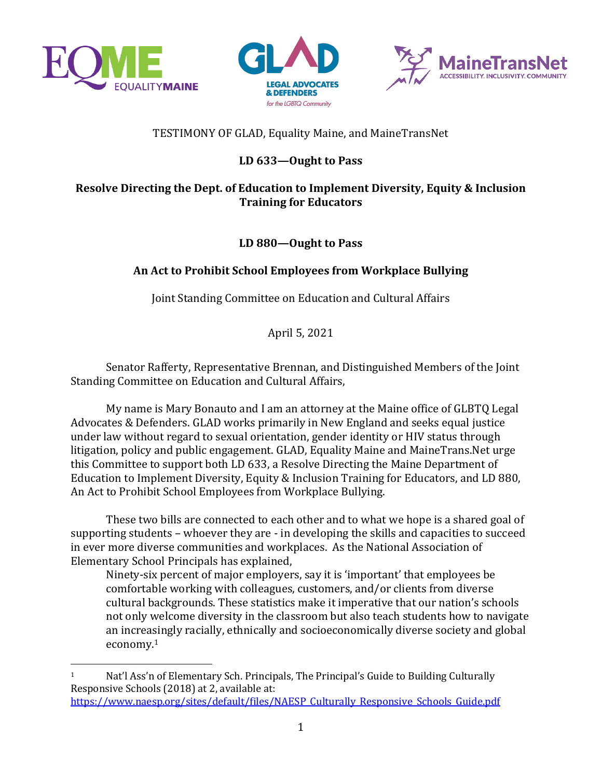





# TESTIMONY OF GLAD, Equality Maine, and MaineTransNet

## LD 633-Ought to Pass

### **Resolve Directing the Dept. of Education to Implement Diversity, Equity & Inclusion Training for Educators**

### LD 880-Ought to Pass

# An Act to Prohibit School Employees from Workplace Bullying

Joint Standing Committee on Education and Cultural Affairs

April 5, 2021

Senator Rafferty, Representative Brennan, and Distinguished Members of the Joint Standing Committee on Education and Cultural Affairs,

My name is Mary Bonauto and I am an attorney at the Maine office of GLBTO Legal Advocates & Defenders. GLAD works primarily in New England and seeks equal justice under law without regard to sexual orientation, gender identity or HIV status through litigation, policy and public engagement. GLAD, Equality Maine and MaineTrans.Net urge this Committee to support both LD 633, a Resolve Directing the Maine Department of Education to Implement Diversity, Equity & Inclusion Training for Educators, and LD 880, An Act to Prohibit School Employees from Workplace Bullying.

These two bills are connected to each other and to what we hope is a shared goal of supporting students – whoever they are - in developing the skills and capacities to succeed in ever more diverse communities and workplaces. As the National Association of Elementary School Principals has explained,

Ninety-six percent of major employers, say it is 'important' that employees be comfortable working with colleagues, customers, and/or clients from diverse cultural backgrounds. These statistics make it imperative that our nation's schools not only welcome diversity in the classroom but also teach students how to navigate an increasingly racially, ethnically and socioeconomically diverse society and global economy.1

<sup>&</sup>lt;sup>1</sup> Nat'l Ass'n of Elementary Sch. Principals, The Principal's Guide to Building Culturally Responsive Schools (2018) at 2, available at: https://www.naesp.org/sites/default/files/NAESP\_Culturally\_Responsive\_Schools\_Guide.pdf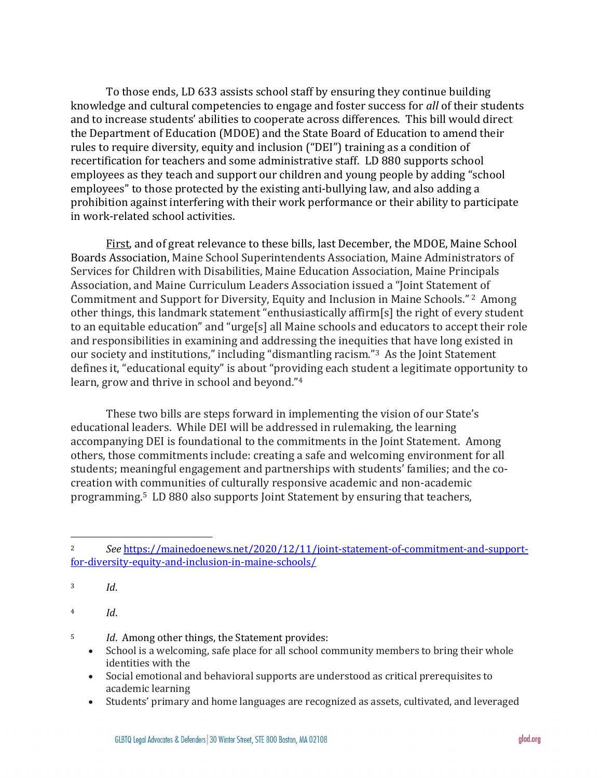To those ends, LD 633 assists school staff by ensuring they continue building knowledge and cultural competencies to engage and foster success for *all* of their students and to increase students' abilities to cooperate across differences. This bill would direct the Department of Education (MDOE) and the State Board of Education to amend their rules to require diversity, equity and inclusion ("DEI") training as a condition of recertification for teachers and some administrative staff. LD 880 supports school employees as they teach and support our children and young people by adding "school employees" to those protected by the existing anti-bullying law, and also adding a prohibition against interfering with their work performance or their ability to participate in work-related school activities.

First, and of great relevance to these bills, last December, the MDOE, Maine School Boards Association, Maine School Superintendents Association, Maine Administrators of Services for Children with Disabilities, Maine Education Association, Maine Principals Association, and Maine Curriculum Leaders Association issued a "Joint Statement of Commitment and Support for Diversity, Equity and Inclusion in Maine Schools."<sup>2</sup> Among other things, this landmark statement "enthusiastically affirm[s] the right of every student to an equitable education" and "urge[s] all Maine schools and educators to accept their role and responsibilities in examining and addressing the inequities that have long existed in our society and institutions," including "dismantling racism."<sup>3</sup> As the Joint Statement defines it, "educational equity" is about "providing each student a legitimate opportunity to learn, grow and thrive in school and beyond."<sup>4</sup>

These two bills are steps forward in implementing the vision of our State's educational leaders. While DEI will be addressed in rulemaking, the learning accompanying DEI is foundational to the commitments in the Joint Statement. Among others, those commitments include: creating a safe and welcoming environment for all students; meaningful engagement and partnerships with students' families; and the cocreation with communities of culturally responsive academic and non-academic programming.<sup>5</sup> LD 880 also supports Joint Statement by ensuring that teachers,

<sup>5</sup> *Id.* Among other things, the Statement provides:

- School is a welcoming, safe place for all school community members to bring their whole identities with the
- Social emotional and behavioral supports are understood as critical prerequisites to academic learning
- Students' primary and home languages are recognized as assets, cultivated, and leveraged

<sup>2</sup> *See* https://mainedoenews.net/2020/12/11/joint-statement-of-commitment-and-supportfor-diversity-equity-and-inclusion-in-maine-schools/

<sup>3</sup> *Id*. 

<sup>4</sup> *Id*.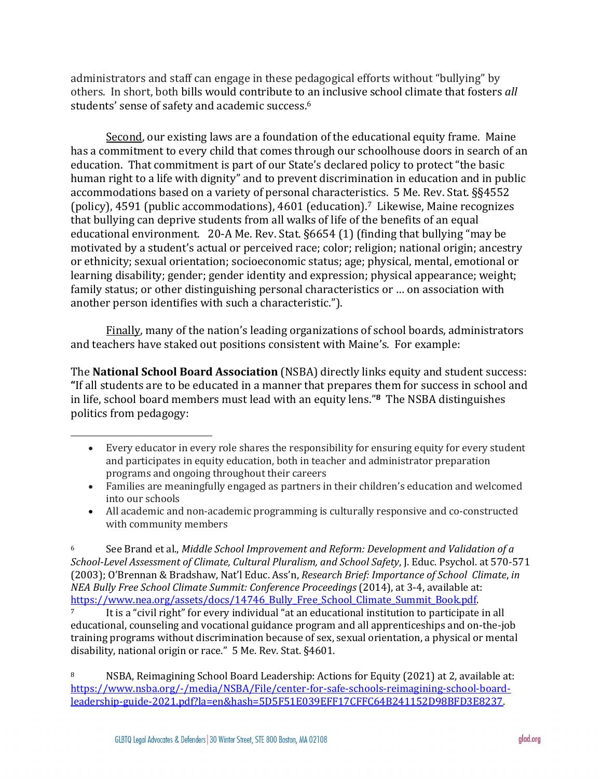administrators and staff can engage in these pedagogical efforts without "bullying" by others. In short, both bills would contribute to an inclusive school climate that fosters all students' sense of safety and academic success.<sup>6</sup>

Second, our existing laws are a foundation of the educational equity frame. Maine has a commitment to every child that comes through our schoolhouse doors in search of an education. That commitment is part of our State's declared policy to protect "the basic human right to a life with dignity" and to prevent discrimination in education and in public accommodations based on a variety of personal characteristics. 5 Me. Rev. Stat. §§4552 (policy), 4591 (public accommodations), 4601 (education).<sup>7</sup> Likewise, Maine recognizes that bullying can deprive students from all walks of life of the benefits of an equal educational environment.  $20-A$  Me. Rev. Stat. §6654 (1) (finding that bullying "may be motivated by a student's actual or perceived race; color; religion; national origin; ancestry or ethnicity; sexual orientation; socioeconomic status; age; physical, mental, emotional or learning disability; gender; gender identity and expression; physical appearance; weight; family status; or other distinguishing personal characteristics or ... on association with another person identifies with such a characteristic.").

Finally, many of the nation's leading organizations of school boards, administrators and teachers have staked out positions consistent with Maine's. For example:

The **National School Board Association** (NSBA) directly links equity and student success: "If all students are to be educated in a manner that prepares them for success in school and in life, school board members must lead with an equity lens."<sup>8</sup> The NSBA distinguishes politics from pedagogy:

• All academic and non-academic programming is culturally responsive and co-constructed with community members

<sup>6</sup> See Brand et al., *Middle School Improvement and Reform: Development and Validation of a School-Level Assessment of Climate, Cultural Pluralism, and School Safety*, J. Educ. Psychol. at 570-571 (2003); O'Brennan & Bradshaw, Nat'l Educ. Ass'n, *Research Brief: Importance of School Climate*, *in NEA Bully Free School Climate Summit: Conference Proceedings* (2014), at 3-4, available at: https://www.nea.org/assets/docs/14746\_Bully\_Free\_School\_Climate\_Summit\_Book.pdf. It is a "civil right" for every individual "at an educational institution to participate in all educational, counseling and vocational guidance program and all apprenticeships and on-the-job training programs without discrimination because of sex, sexual orientation, a physical or mental disability, national origin or race." 5 Me. Rev. Stat. §4601.

8 NSBA, Reimagining School Board Leadership: Actions for Equity (2021) at 2, available at: https://www.nsba.org/-/media/NSBA/File/center-for-safe-schools-reimagining-school-boardleadership-guide-2021.pdf?la=en&hash=5D5F51E039EFF17CFFC64B241152D98BFD3E8237.

<sup>•</sup> Every educator in every role shares the responsibility for ensuring equity for every student and participates in equity education, both in teacher and administrator preparation programs and ongoing throughout their careers

<sup>•</sup> Families are meaningfully engaged as partners in their children's education and welcomed into our schools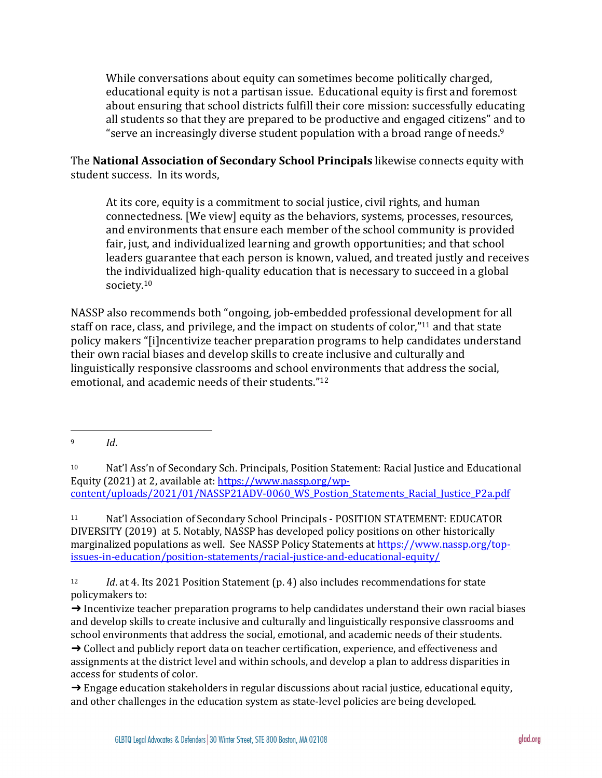While conversations about equity can sometimes become politically charged, educational equity is not a partisan issue. Educational equity is first and foremost about ensuring that school districts fulfill their core mission: successfully educating all students so that they are prepared to be productive and engaged citizens" and to "serve an increasingly diverse student population with a broad range of needs. $9$ 

The **National Association of Secondary School Principals** likewise connects equity with student success. In its words,

At its core, equity is a commitment to social justice, civil rights, and human connectedness. [We view] equity as the behaviors, systems, processes, resources, and environments that ensure each member of the school community is provided fair, just, and individualized learning and growth opportunities; and that school leaders guarantee that each person is known, valued, and treated justly and receives the individualized high-quality education that is necessary to succeed in a global society.10

NASSP also recommends both "ongoing, job-embedded professional development for all staff on race, class, and privilege, and the impact on students of color,"<sup>11</sup> and that state policy makers "[i]ncentivize teacher preparation programs to help candidates understand their own racial biases and develop skills to create inclusive and culturally and linguistically responsive classrooms and school environments that address the social, emotional, and academic needs of their students."<sup>12</sup>

<sup>11</sup> Nat'l Association of Secondary School Principals - POSITION STATEMENT: EDUCATOR DIVERSITY (2019) at 5. Notably, NASSP has developed policy positions on other historically marginalized populations as well. See NASSP Policy Statements at https://www.nassp.org/topissues-in-education/position-statements/racial-justice-and-educational-equity/

<sup>12</sup> *Id.* at 4. Its 2021 Position Statement (p. 4) also includes recommendations for state policymakers to:

 $\rightarrow$  Incentivize teacher preparation programs to help candidates understand their own racial biases and develop skills to create inclusive and culturally and linguistically responsive classrooms and school environments that address the social, emotional, and academic needs of their students.  $\rightarrow$  Collect and publicly report data on teacher certification, experience, and effectiveness and assignments at the district level and within schools, and develop a plan to address disparities in access for students of color.

 $\rightarrow$  Engage education stakeholders in regular discussions about racial justice, educational equity, and other challenges in the education system as state-level policies are being developed.

<sup>9</sup> *Id*. 

<sup>&</sup>lt;sup>10</sup> Nat'l Ass'n of Secondary Sch. Principals, Position Statement: Racial Justice and Educational Equity (2021) at 2, available at: https://www.nassp.org/wpcontent/uploads/2021/01/NASSP21ADV-0060\_WS\_Postion\_Statements\_Racial\_Justice\_P2a.pdf